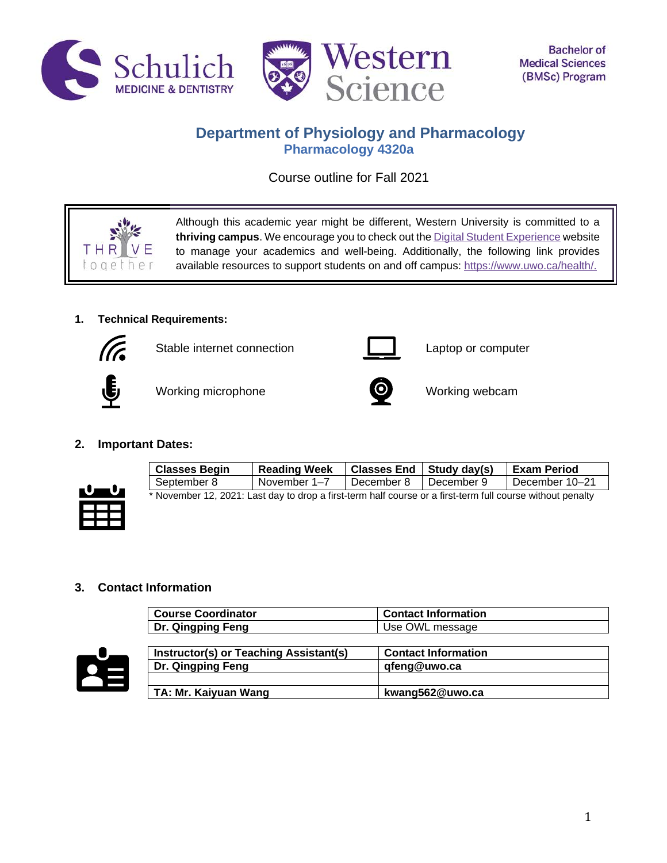



# **Department of Physiology and Pharmacology Pharmacology 4320a**

Course outline for Fall 2021

 $00e$ 

Although this academic year might be different, Western University is committed to a **thriving campus**. We encourage you to check out th[e Digital Student Experience](https://www.uwo.ca/se/digital/) website to manage your academics and well-being. Additionally, the following link provides available resources to support students on and off campus: [https://www.uwo.ca/health/.](https://www.uwo.ca/health/)

# **1. Technical Requirements:**



Stable internet connection **Laptop** computer



Working microphone **CO** Working webcam



# **2. Important Dates:**



| <b>Classes Begin</b>                                                                                       | <b>Reading Week</b> | Classes End $\vert$ Study day(s) |              | <b>Exam Period</b> |
|------------------------------------------------------------------------------------------------------------|---------------------|----------------------------------|--------------|--------------------|
| September 8                                                                                                | November 1–7        | December 8                       | ∣ December 9 | December 10–21     |
| * November 12, 2021: Last day to drop a first-term half course or a first-term full course without penalty |                     |                                  |              |                    |

# **3. Contact Information**

| <b>Course Coordinator</b> | <b>Contact Information</b> |
|---------------------------|----------------------------|
| <b>Dr. Qingping Feng</b>  | Use OWL message            |



| Instructor(s) or Teaching Assistant(s) | <b>Contact Information</b> |  |
|----------------------------------------|----------------------------|--|
| Dr. Qingping Feng                      | qfeng@uwo.ca               |  |
|                                        |                            |  |
| TA: Mr. Kaiyuan Wang                   | kwang562@uwo.ca            |  |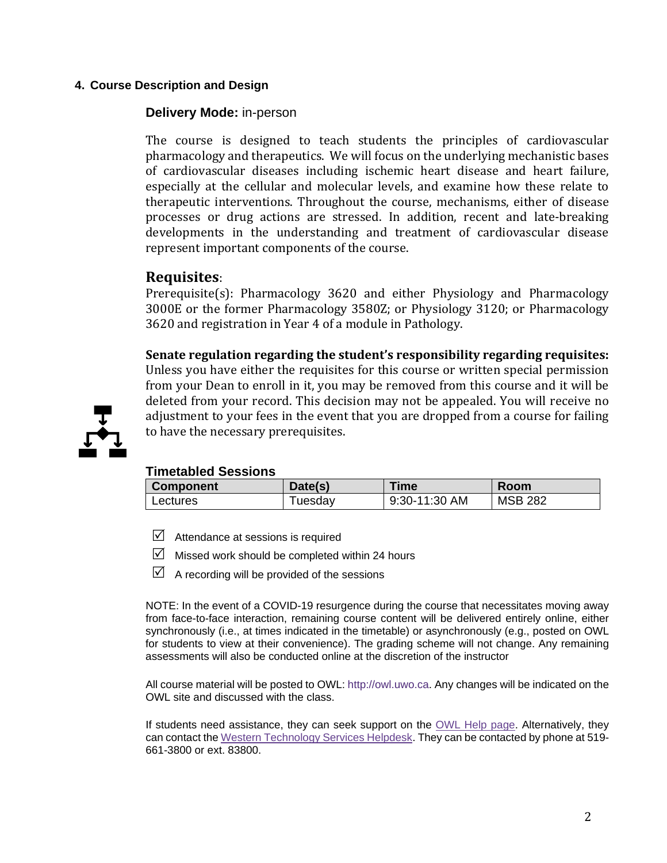# **4. Course Description and Design**

## **Delivery Mode:** in-person

The course is designed to teach students the principles of cardiovascular pharmacology and therapeutics. We will focus on the underlying mechanistic bases of cardiovascular diseases including ischemic heart disease and heart failure, especially at the cellular and molecular levels, and examine how these relate to therapeutic interventions. Throughout the course, mechanisms, either of disease processes or drug actions are stressed. In addition, recent and late-breaking developments in the understanding and treatment of cardiovascular disease represent important components of the course.

# **Requisites**:

Prerequisite(s): Pharmacology 3620 and either Physiology and Pharmacology 3000E or the former Pharmacology 3580Z; or Physiology 3120; or Pharmacology 3620 and registration in Year 4 of a module in Pathology.

**Senate regulation regarding the student's responsibility regarding requisites:**

Unless you have either the requisites for this course or written special permission from your Dean to enroll in it, you may be removed from this course and it will be deleted from your record. This decision may not be appealed. You will receive no adjustment to your fees in the event that you are dropped from a course for failing to have the necessary prerequisites.



# **Timetabled Sessions**

| <b>Component</b> | Date(s) | Time          | <b>Room</b>    |
|------------------|---------|---------------|----------------|
| Lectures         | ⊺uesdav | 9:30-11:30 AM | <b>MSB 282</b> |

- $\triangledown$  Attendance at sessions is required
- $\triangledown$  Missed work should be completed within 24 hours
- $\Box$  A recording will be provided of the sessions

NOTE: In the event of a COVID-19 resurgence during the course that necessitates moving away from face-to-face interaction, remaining course content will be delivered entirely online, either synchronously (i.e., at times indicated in the timetable) or asynchronously (e.g., posted on OWL for students to view at their convenience). The grading scheme will not change. Any remaining assessments will also be conducted online at the discretion of the instructor

All course material will be posted to OWL: http://owl.uwo.ca. Any changes will be indicated on the OWL site and discussed with the class.

If students need assistance, they can seek support on the [OWL Help page.](https://owlhelp.uwo.ca/students/index.html) Alternatively, they can contact the [Western Technology Services Helpdesk.](https://wts.uwo.ca/helpdesk/) They can be contacted by phone at 519- 661-3800 or ext. 83800.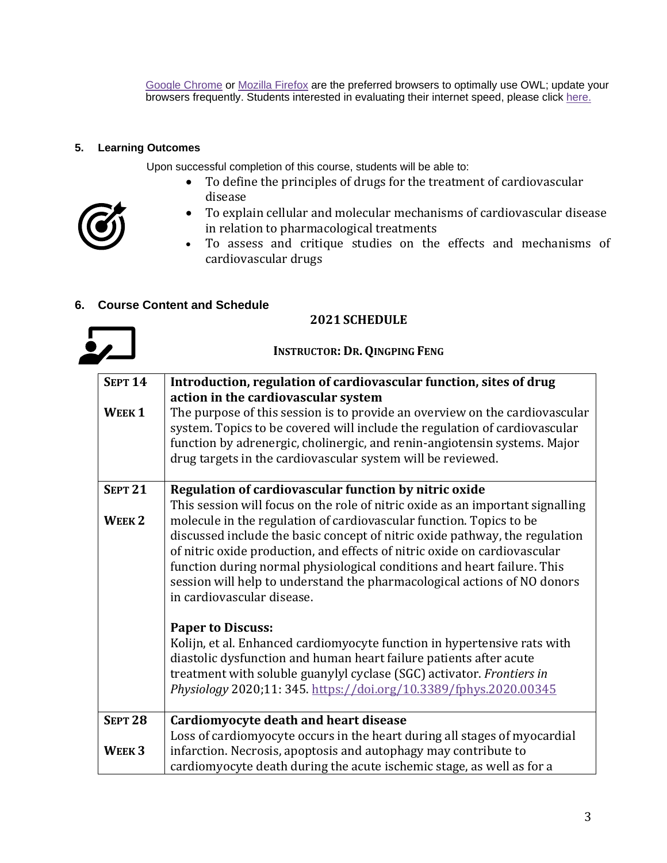[Google Chrome](https://www.google.ca/chrome/?brand=CHBD&gclid=CjwKCAjwxLH3BRApEiwAqX9arfg8JaH6fWGASk9bHTkfW_dyBir93A1-TliP-7u1Kguf-WZsoGAPhBoC9NYQAvD_BwE&gclsrc=aw.ds) or [Mozilla Firefox](https://www.mozilla.org/en-CA/) are the preferred browsers to optimally use OWL; update your browsers frequently. Students interested in evaluating their internet speed, please click [here.](https://www.google.com/search?q=internet+speed+test+google&rlz=1C5CHFA_enCA702CA702&oq=internet+speed+test+google&aqs=chrome..69i57j0l7.3608j0j4&sourceid=chrome&ie=UTF-8)

# **5. Learning Outcomes**

Upon successful completion of this course, students will be able to:

- To define the principles of drugs for the treatment of cardiovascular disease
- To explain cellular and molecular mechanisms of cardiovascular disease in relation to pharmacological treatments
- To assess and critique studies on the effects and mechanisms of cardiovascular drugs

# **6. Course Content and Schedule**

## **2021 SCHEDULE**

**INSTRUCTOR: DR.QINGPING FENG**



| <b>SEPT 14</b>    | Introduction, regulation of cardiovascular function, sites of drug                                                                                                                                                                                                                                                                                                                                                                                                                                     |
|-------------------|--------------------------------------------------------------------------------------------------------------------------------------------------------------------------------------------------------------------------------------------------------------------------------------------------------------------------------------------------------------------------------------------------------------------------------------------------------------------------------------------------------|
|                   | action in the cardiovascular system                                                                                                                                                                                                                                                                                                                                                                                                                                                                    |
| WEEK <sub>1</sub> | The purpose of this session is to provide an overview on the cardiovascular<br>system. Topics to be covered will include the regulation of cardiovascular<br>function by adrenergic, cholinergic, and renin-angiotensin systems. Major<br>drug targets in the cardiovascular system will be reviewed.                                                                                                                                                                                                  |
| <b>SEPT 21</b>    | Regulation of cardiovascular function by nitric oxide                                                                                                                                                                                                                                                                                                                                                                                                                                                  |
| WEEK <sub>2</sub> | This session will focus on the role of nitric oxide as an important signalling<br>molecule in the regulation of cardiovascular function. Topics to be<br>discussed include the basic concept of nitric oxide pathway, the regulation<br>of nitric oxide production, and effects of nitric oxide on cardiovascular<br>function during normal physiological conditions and heart failure. This<br>session will help to understand the pharmacological actions of NO donors<br>in cardiovascular disease. |
|                   | <b>Paper to Discuss:</b><br>Kolijn, et al. Enhanced cardiomyocyte function in hypertensive rats with<br>diastolic dysfunction and human heart failure patients after acute<br>treatment with soluble guanylyl cyclase (SGC) activator. Frontiers in<br>Physiology 2020;11: 345. https://doi.org/10.3389/fphys.2020.00345                                                                                                                                                                               |
| <b>SEPT 28</b>    | Cardiomyocyte death and heart disease                                                                                                                                                                                                                                                                                                                                                                                                                                                                  |
| WEEK <sub>3</sub> | Loss of cardiomyocyte occurs in the heart during all stages of myocardial<br>infarction. Necrosis, apoptosis and autophagy may contribute to<br>cardiomyocyte death during the acute ischemic stage, as well as for a                                                                                                                                                                                                                                                                                  |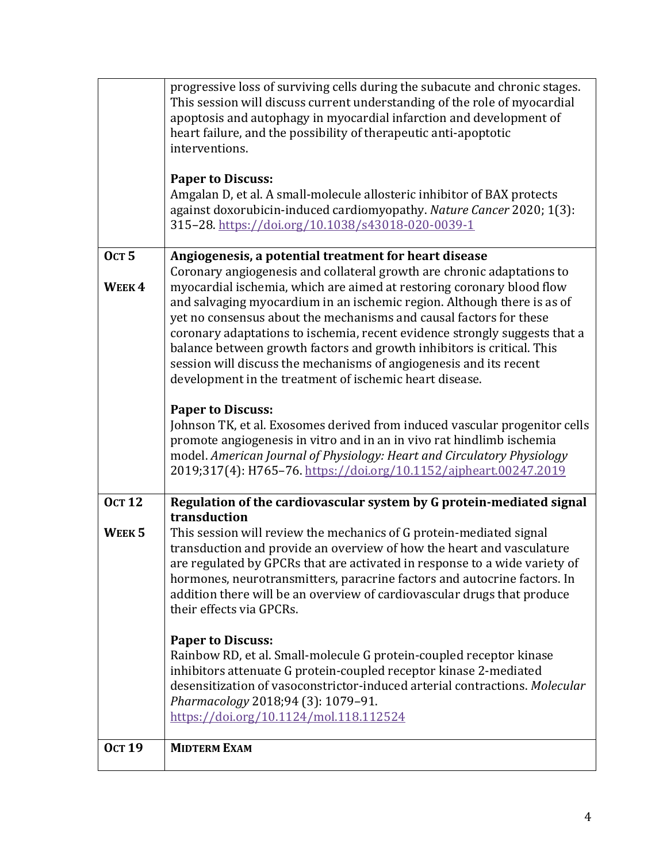| <b>Ост 19</b>                      | <b>MIDTERM EXAM</b>                                                                                                                                                                                                                                                                                                                                                                                                                                                                                                                                                                                                                                |
|------------------------------------|----------------------------------------------------------------------------------------------------------------------------------------------------------------------------------------------------------------------------------------------------------------------------------------------------------------------------------------------------------------------------------------------------------------------------------------------------------------------------------------------------------------------------------------------------------------------------------------------------------------------------------------------------|
|                                    | <b>Paper to Discuss:</b><br>Rainbow RD, et al. Small-molecule G protein-coupled receptor kinase<br>inhibitors attenuate G protein-coupled receptor kinase 2-mediated<br>desensitization of vasoconstrictor-induced arterial contractions. Molecular<br>Pharmacology 2018;94 (3): 1079-91.<br>https://doi.org/10.1124/mol.118.112524                                                                                                                                                                                                                                                                                                                |
| <b>OCT 12</b><br>WEEK <sub>5</sub> | Regulation of the cardiovascular system by G protein-mediated signal<br>transduction<br>This session will review the mechanics of G protein-mediated signal<br>transduction and provide an overview of how the heart and vasculature<br>are regulated by GPCRs that are activated in response to a wide variety of<br>hormones, neurotransmitters, paracrine factors and autocrine factors. In<br>addition there will be an overview of cardiovascular drugs that produce<br>their effects via GPCRs.                                                                                                                                              |
|                                    | <b>Paper to Discuss:</b><br>Johnson TK, et al. Exosomes derived from induced vascular progenitor cells<br>promote angiogenesis in vitro and in an in vivo rat hindlimb ischemia<br>model. American Journal of Physiology: Heart and Circulatory Physiology<br>2019;317(4): H765-76. https://doi.org/10.1152/ajpheart.00247.2019                                                                                                                                                                                                                                                                                                                    |
| <b>Ост 5</b><br>WEEK4              | Angiogenesis, a potential treatment for heart disease<br>Coronary angiogenesis and collateral growth are chronic adaptations to<br>myocardial ischemia, which are aimed at restoring coronary blood flow<br>and salvaging myocardium in an ischemic region. Although there is as of<br>yet no consensus about the mechanisms and causal factors for these<br>coronary adaptations to ischemia, recent evidence strongly suggests that a<br>balance between growth factors and growth inhibitors is critical. This<br>session will discuss the mechanisms of angiogenesis and its recent<br>development in the treatment of ischemic heart disease. |
|                                    | <b>Paper to Discuss:</b><br>Amgalan D, et al. A small-molecule allosteric inhibitor of BAX protects<br>against doxorubicin-induced cardiomyopathy. Nature Cancer 2020; 1(3):<br>315-28. https://doi.org/10.1038/s43018-020-0039-1                                                                                                                                                                                                                                                                                                                                                                                                                  |
|                                    | progressive loss of surviving cells during the subacute and chronic stages.<br>This session will discuss current understanding of the role of myocardial<br>apoptosis and autophagy in myocardial infarction and development of<br>heart failure, and the possibility of therapeutic anti-apoptotic<br>interventions.                                                                                                                                                                                                                                                                                                                              |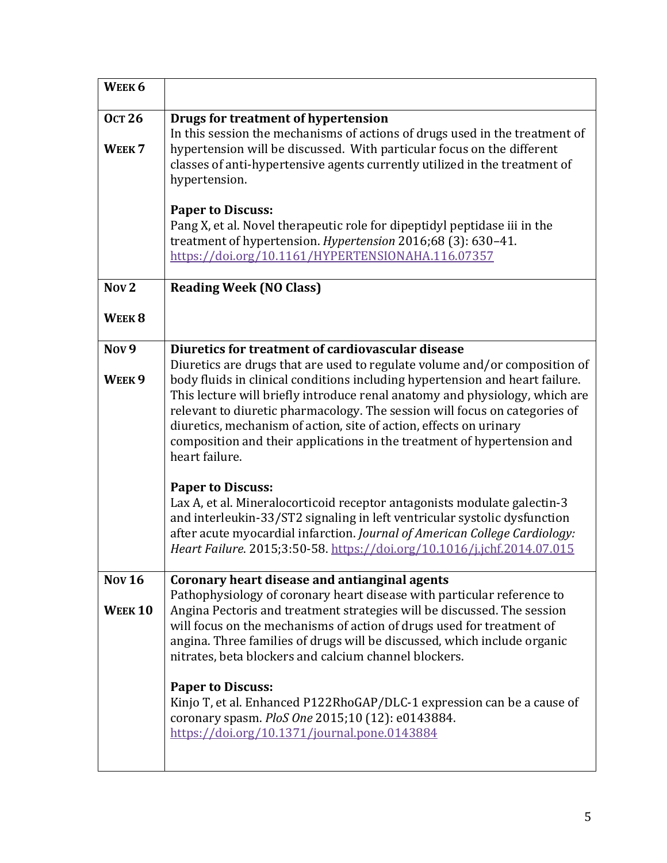| WEEK <sub>6</sub>                  |                                                                                                                                                                                                                                                                                                                                                                                                                                                                                            |
|------------------------------------|--------------------------------------------------------------------------------------------------------------------------------------------------------------------------------------------------------------------------------------------------------------------------------------------------------------------------------------------------------------------------------------------------------------------------------------------------------------------------------------------|
| <b>Ост 26</b><br>WEEK <sub>7</sub> | Drugs for treatment of hypertension<br>In this session the mechanisms of actions of drugs used in the treatment of<br>hypertension will be discussed. With particular focus on the different<br>classes of anti-hypertensive agents currently utilized in the treatment of<br>hypertension.                                                                                                                                                                                                |
|                                    | <b>Paper to Discuss:</b><br>Pang X, et al. Novel therapeutic role for dipeptidyl peptidase iii in the<br>treatment of hypertension. Hypertension 2016;68 (3): 630-41.<br>https://doi.org/10.1161/HYPERTENSIONAHA.116.07357                                                                                                                                                                                                                                                                 |
| Nov <sub>2</sub>                   | <b>Reading Week (NO Class)</b>                                                                                                                                                                                                                                                                                                                                                                                                                                                             |
| WEEK <sub>8</sub>                  |                                                                                                                                                                                                                                                                                                                                                                                                                                                                                            |
| Nov <sub>9</sub>                   | Diuretics for treatment of cardiovascular disease                                                                                                                                                                                                                                                                                                                                                                                                                                          |
| WEEK <sub>9</sub>                  | Diuretics are drugs that are used to regulate volume and/or composition of<br>body fluids in clinical conditions including hypertension and heart failure.<br>This lecture will briefly introduce renal anatomy and physiology, which are<br>relevant to diuretic pharmacology. The session will focus on categories of<br>diuretics, mechanism of action, site of action, effects on urinary<br>composition and their applications in the treatment of hypertension and<br>heart failure. |
|                                    | <b>Paper to Discuss:</b><br>Lax A, et al. Mineralocorticoid receptor antagonists modulate galectin-3<br>and interleukin-33/ST2 signaling in left ventricular systolic dysfunction<br>after acute myocardial infarction. Journal of American College Cardiology:<br>Heart Failure. 2015;3:50-58. https://doi.org/10.1016/j.jchf.2014.07.015                                                                                                                                                 |
| <b>Nov 16</b>                      | Coronary heart disease and antianginal agents<br>Pathophysiology of coronary heart disease with particular reference to                                                                                                                                                                                                                                                                                                                                                                    |
| <b>WEEK10</b>                      | Angina Pectoris and treatment strategies will be discussed. The session<br>will focus on the mechanisms of action of drugs used for treatment of<br>angina. Three families of drugs will be discussed, which include organic<br>nitrates, beta blockers and calcium channel blockers.                                                                                                                                                                                                      |
|                                    | <b>Paper to Discuss:</b><br>Kinjo T, et al. Enhanced P122RhoGAP/DLC-1 expression can be a cause of<br>coronary spasm. PloS One 2015;10 (12): e0143884.<br>https://doi.org/10.1371/journal.pone.0143884                                                                                                                                                                                                                                                                                     |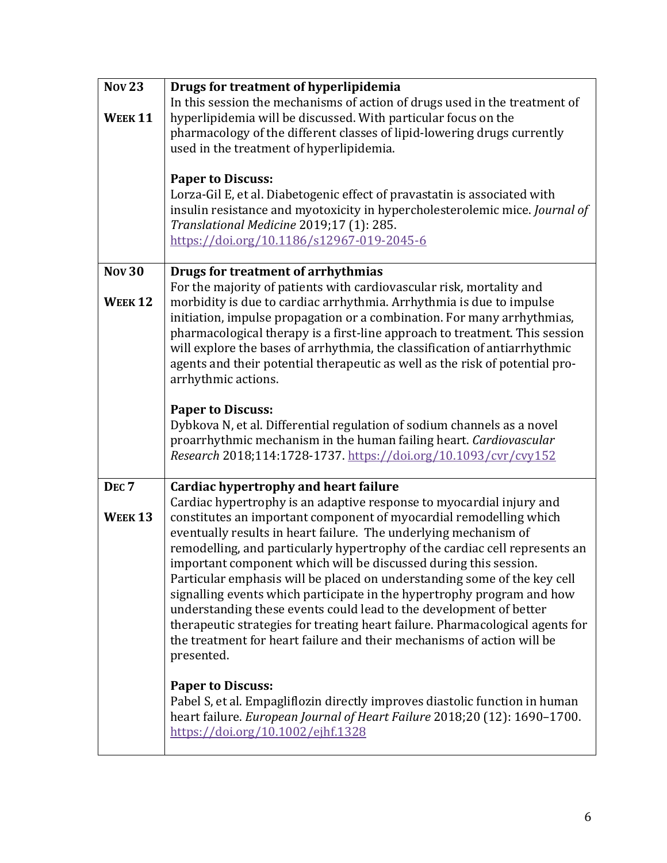| <b>Nov 23</b>                     | Drugs for treatment of hyperlipidemia                                                                                                                                                                                                                                                                                                                                                                                                                                                                                                                                                                                                                                                                                                                                                                                  |
|-----------------------------------|------------------------------------------------------------------------------------------------------------------------------------------------------------------------------------------------------------------------------------------------------------------------------------------------------------------------------------------------------------------------------------------------------------------------------------------------------------------------------------------------------------------------------------------------------------------------------------------------------------------------------------------------------------------------------------------------------------------------------------------------------------------------------------------------------------------------|
| WEEK <sub>11</sub>                | In this session the mechanisms of action of drugs used in the treatment of<br>hyperlipidemia will be discussed. With particular focus on the<br>pharmacology of the different classes of lipid-lowering drugs currently<br>used in the treatment of hyperlipidemia.                                                                                                                                                                                                                                                                                                                                                                                                                                                                                                                                                    |
|                                   | <b>Paper to Discuss:</b><br>Lorza-Gil E, et al. Diabetogenic effect of pravastatin is associated with<br>insulin resistance and myotoxicity in hypercholesterolemic mice. Journal of<br>Translational Medicine 2019;17 (1): 285.<br>https://doi.org/10.1186/s12967-019-2045-6                                                                                                                                                                                                                                                                                                                                                                                                                                                                                                                                          |
| <b>Nov 30</b>                     | Drugs for treatment of arrhythmias                                                                                                                                                                                                                                                                                                                                                                                                                                                                                                                                                                                                                                                                                                                                                                                     |
| <b>WEEK12</b>                     | For the majority of patients with cardiovascular risk, mortality and<br>morbidity is due to cardiac arrhythmia. Arrhythmia is due to impulse<br>initiation, impulse propagation or a combination. For many arrhythmias,<br>pharmacological therapy is a first-line approach to treatment. This session<br>will explore the bases of arrhythmia, the classification of antiarrhythmic<br>agents and their potential therapeutic as well as the risk of potential pro-<br>arrhythmic actions.                                                                                                                                                                                                                                                                                                                            |
|                                   | <b>Paper to Discuss:</b><br>Dybkova N, et al. Differential regulation of sodium channels as a novel<br>proarrhythmic mechanism in the human failing heart. Cardiovascular<br>Research 2018;114:1728-1737. https://doi.org/10.1093/cvr/cvy152                                                                                                                                                                                                                                                                                                                                                                                                                                                                                                                                                                           |
| DEC <sub>7</sub><br><b>WEEK13</b> | <b>Cardiac hypertrophy and heart failure</b><br>Cardiac hypertrophy is an adaptive response to myocardial injury and<br>constitutes an important component of myocardial remodelling which<br>eventually results in heart failure. The underlying mechanism of<br>remodelling, and particularly hypertrophy of the cardiac cell represents an<br>important component which will be discussed during this session.<br>Particular emphasis will be placed on understanding some of the key cell<br>signalling events which participate in the hypertrophy program and how<br>understanding these events could lead to the development of better<br>therapeutic strategies for treating heart failure. Pharmacological agents for<br>the treatment for heart failure and their mechanisms of action will be<br>presented. |
|                                   | <b>Paper to Discuss:</b><br>Pabel S, et al. Empagliflozin directly improves diastolic function in human<br>heart failure. European Journal of Heart Failure 2018;20 (12): 1690-1700.<br>https://doi.org/10.1002/ejhf.1328                                                                                                                                                                                                                                                                                                                                                                                                                                                                                                                                                                                              |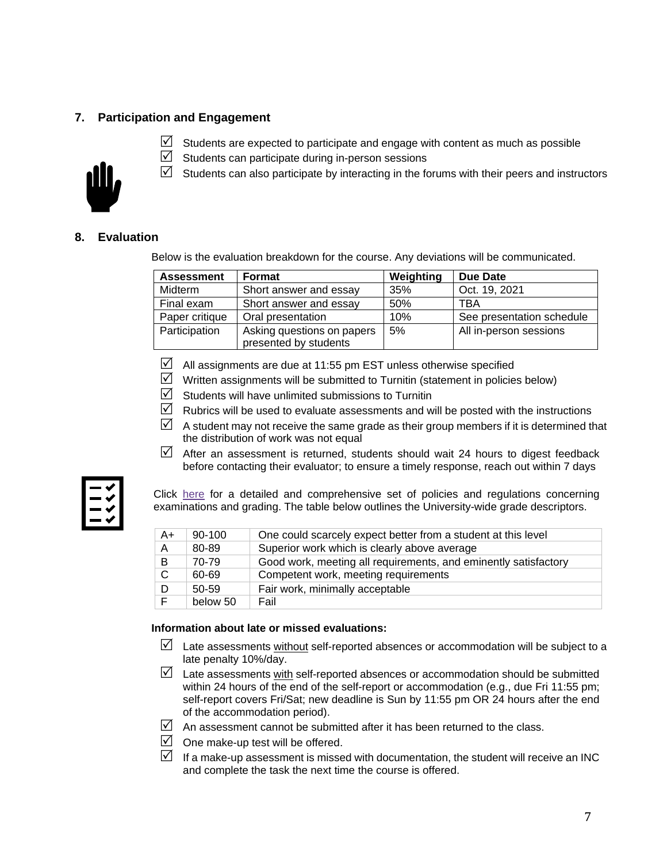# **7. Participation and Engagement**



- $\triangledown$  Students are expected to participate and engage with content as much as possible
- $\boxtimes$  Students can participate during in-person sessions
- $\boxtimes$  Students can also participate by interacting in the forums with their peers and instructors

## **8. Evaluation**

Below is the evaluation breakdown for the course. Any deviations will be communicated.

| <b>Assessment</b> | Format                                              | Weighting | Due Date                  |
|-------------------|-----------------------------------------------------|-----------|---------------------------|
| Midterm           | Short answer and essay                              | 35%       | Oct. 19, 2021             |
| Final exam        | Short answer and essay                              | 50%       | TBA                       |
| Paper critique    | Oral presentation                                   | 10%       | See presentation schedule |
| Participation     | Asking questions on papers<br>presented by students | 5%        | All in-person sessions    |

- $\boxtimes$  All assignments are due at 11:55 pm EST unless otherwise specified
- $\triangledown$  Written assignments will be submitted to Turnitin (statement in policies below)
- $\boxtimes$  Students will have unlimited submissions to Turnitin
- $\triangledown$  Rubrics will be used to evaluate assessments and will be posted with the instructions
- $\mathbb N$  A student may not receive the same grade as their group members if it is determined that the distribution of work was not equal
- $\triangledown$  After an assessment is returned, students should wait 24 hours to digest feedback before contacting their evaluator; to ensure a timely response, reach out within 7 days

Click [here](https://www.westerncalendar.uwo.ca/PolicyPages.cfm?Command=showCategory&PolicyCategoryID=5&SelectedCalendar=Live&ArchiveID=#SubHeading_73) for a detailed and comprehensive set of policies and regulations concerning examinations and grading. The table below outlines the University-wide grade descriptors.

| A+           | $90 - 100$ | One could scarcely expect better from a student at this level   |
|--------------|------------|-----------------------------------------------------------------|
| A            | 80-89      | Superior work which is clearly above average                    |
| B.           | 70-79      | Good work, meeting all requirements, and eminently satisfactory |
| $\mathbf{C}$ | 60-69      | Competent work, meeting requirements                            |
| D            | $50 - 59$  | Fair work, minimally acceptable                                 |
|              | below 50   | Fail                                                            |

### **Information about late or missed evaluations:**

- $\boxtimes$  Late assessments without self-reported absences or accommodation will be subject to a late penalty 10%/day.
- $\triangledown$  Late assessments with self-reported absences or accommodation should be submitted within 24 hours of the end of the self-report or accommodation (e.g., due Fri 11:55 pm; self-report covers Fri/Sat; new deadline is Sun by 11:55 pm OR 24 hours after the end of the accommodation period).
- $\Box$  An assessment cannot be submitted after it has been returned to the class.
- $\Box$  One make-up test will be offered.
- If a make-up assessment is missed with documentation, the student will receive an INC and complete the task the next time the course is offered.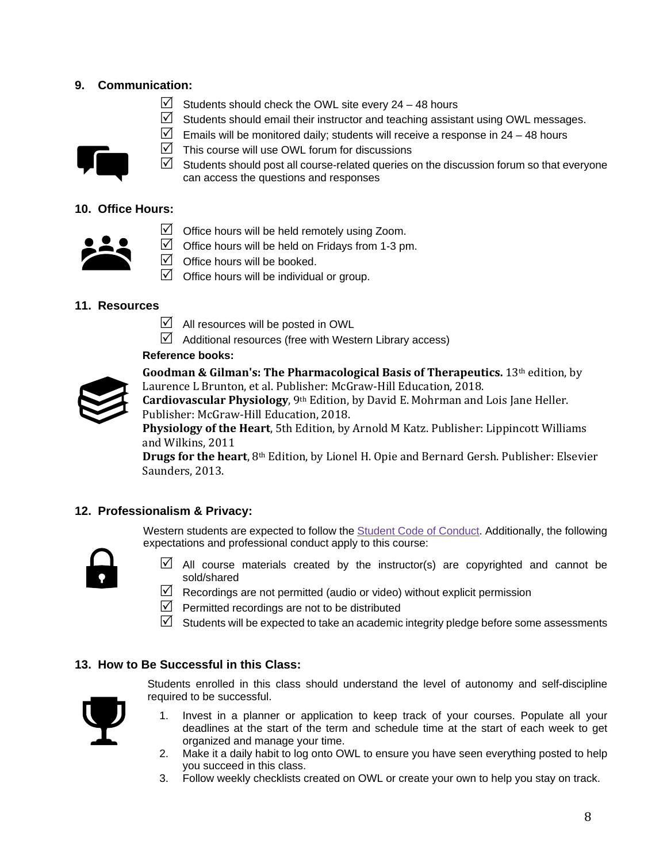# **9. Communication:**

- $\triangleright$  Students should check the OWL site every 24 48 hours
- $\boxtimes$  Students should email their instructor and teaching assistant using OWL messages.



 $\triangledown$  This course will use OWL forum for discussions



# **10. Office Hours:**

- $\triangledown$  Office hours will be held remotely using Zoom.
- $\triangledown$  Office hours will be held on Fridays from 1-3 pm.
- $\boxtimes$  Office hours will be booked.
- $\triangledown$  Office hours will be individual or group.

# **11. Resources**

- $\overline{\mathsf{M}}$  All resources will be posted in OWL
- $\boxtimes$  Additional resources (free with Western Library access)

## **Reference books:**



**Goodman & Gilman's: The Pharmacological Basis of Therapeutics.** 13th edition, by Laurence L Brunton, et al. Publisher: McGraw-Hill Education, 2018.

**Cardiovascular Physiology**, 9th Edition, by David E. Mohrman and Lois Jane Heller. Publisher: McGraw-Hill Education, 2018.

**Physiology of the Heart**, 5th Edition, by Arnold M Katz. Publisher: Lippincott Williams and Wilkins, 2011

**Drugs for the heart**, 8th Edition, by Lionel H. Opie and Bernard Gersh. Publisher: Elsevier Saunders, 2013.

## **12. Professionalism & Privacy:**

Western students are expected to follow the [Student Code of Conduct.](https://www.uwo.ca/univsec/pdf/board/code.pdf) Additionally, the following expectations and professional conduct apply to this course:



- $\boxtimes$  All course materials created by the instructor(s) are copyrighted and cannot be sold/shared
- $\mathbb N$  Recordings are not permitted (audio or video) without explicit permission
- $\triangledown$  Permitted recordings are not to be distributed
- $\boxtimes$  Students will be expected to take an academic integrity pledge before some assessments

## **13. How to Be Successful in this Class:**



Students enrolled in this class should understand the level of autonomy and self-discipline required to be successful.

- 1. Invest in a planner or application to keep track of your courses. Populate all your deadlines at the start of the term and schedule time at the start of each week to get organized and manage your time.
- 2. Make it a daily habit to log onto OWL to ensure you have seen everything posted to help you succeed in this class.
- 3. Follow weekly checklists created on OWL or create your own to help you stay on track.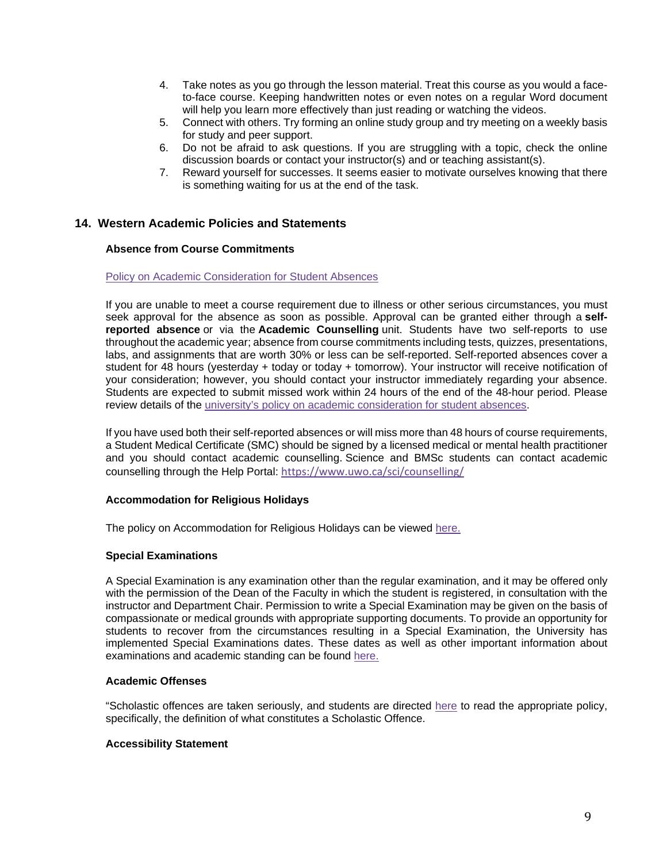- 4. Take notes as you go through the lesson material. Treat this course as you would a faceto-face course. Keeping handwritten notes or even notes on a regular Word document will help you learn more effectively than just reading or watching the videos.
- 5. Connect with others. Try forming an online study group and try meeting on a weekly basis for study and peer support.
- 6. Do not be afraid to ask questions. If you are struggling with a topic, check the online discussion boards or contact your instructor(s) and or teaching assistant(s).
- 7. Reward yourself for successes. It seems easier to motivate ourselves knowing that there is something waiting for us at the end of the task.

### **14. Western Academic Policies and Statements**

#### **Absence from Course Commitments**

#### [Policy on Academic Consideration for Student Absences](https://www.uwo.ca/univsec/pdf/academic_policies/appeals/accommodation_illness.pdf)

If you are unable to meet a course requirement due to illness or other serious circumstances, you must seek approval for the absence as soon as possible. Approval can be granted either through a **selfreported absence** or via the **Academic Counselling** unit. Students have two self-reports to use throughout the academic year; absence from course commitments including tests, quizzes, presentations, labs, and assignments that are worth 30% or less can be self-reported. Self-reported absences cover a student for 48 hours (yesterday + today or today + tomorrow). Your instructor will receive notification of your consideration; however, you should contact your instructor immediately regarding your absence. Students are expected to submit missed work within 24 hours of the end of the 48-hour period. Please review details of the [university's policy on academic consideration for student absences.](https://www.uwo.ca/univsec/pdf/academic_policies/appeals/Academic_Consideration_for_absences.pdf)

If you have used both their self-reported absences or will miss more than 48 hours of course requirements, a Student Medical Certificate (SMC) should be signed by a licensed medical or mental health practitioner and you should contact academic counselling. Science and BMSc students can contact academic counselling through the Help Portal: <https://www.uwo.ca/sci/counselling/>

#### **Accommodation for Religious Holidays**

The policy on Accommodation for Religious Holidays can be viewed [here.](https://www.uwo.ca/univsec/pdf/academic_policies/appeals/accommodation_religious.pdf)

#### **Special Examinations**

A Special Examination is any examination other than the regular examination, and it may be offered only with the permission of the Dean of the Faculty in which the student is registered, in consultation with the instructor and Department Chair. Permission to write a Special Examination may be given on the basis of compassionate or medical grounds with appropriate supporting documents. To provide an opportunity for students to recover from the circumstances resulting in a Special Examination, the University has implemented Special Examinations dates. These dates as well as other important information about examinations and academic standing can be found [here.](http://www.uwo.ca/univsec/pdf/academic_policies/exam/definitions.pdf)

#### **Academic Offenses**

"Scholastic offences are taken seriously, and students are directed [here](http://www.uwo.ca/univsec/pdf/academic_policies/appeals/scholastic_discipline_undergrad.pdf) to read the appropriate policy, specifically, the definition of what constitutes a Scholastic Offence.

#### **Accessibility Statement**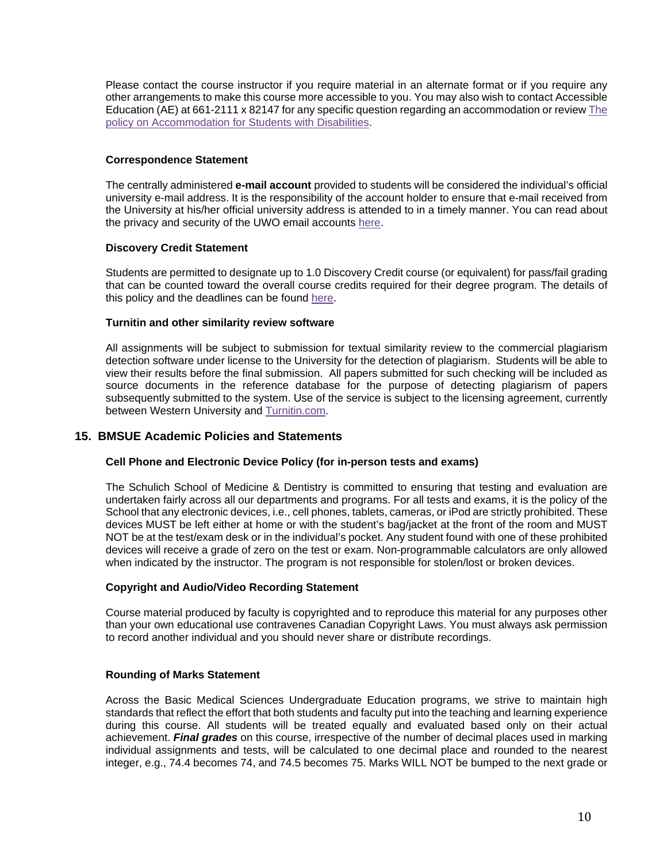Please contact the course instructor if you require material in an alternate format or if you require any other arrangements to make this course more accessible to you. You may also wish to contact Accessible Education (AE) at 661-2111 x 82147 for any specific question regarding an accommodation or revie[w The](https://www.uwo.ca/univsec/pdf/academic_policies/appeals/Academic%20Accommodation_disabilities.pdf)  [policy on Accommodation for Students with Disabilities.](https://www.uwo.ca/univsec/pdf/academic_policies/appeals/Academic%20Accommodation_disabilities.pdf)

#### **Correspondence Statement**

The centrally administered **e-mail account** provided to students will be considered the individual's official university e-mail address. It is the responsibility of the account holder to ensure that e-mail received from the University at his/her official university address is attended to in a timely manner. You can read about the privacy and security of the UWO email accounts [here.](https://www.uwo.ca/univsec/privacy/faq.html#ShouldIUse)

#### **Discovery Credit Statement**

Students are permitted to designate up to 1.0 Discovery Credit course (or equivalent) for pass/fail grading that can be counted toward the overall course credits required for their degree program. The details of this policy and the deadlines can be found [here.](https://www.uwo.ca/univsec/pdf/academic_policies/registration_progression_grad/coursecredit.pdf)

#### **Turnitin and other similarity review software**

All assignments will be subject to submission for textual similarity review to the commercial plagiarism detection software under license to the University for the detection of plagiarism. Students will be able to view their results before the final submission. All papers submitted for such checking will be included as source documents in the reference database for the purpose of detecting plagiarism of papers subsequently submitted to the system. Use of the service is subject to the licensing agreement, currently between Western University and [Turnitin.com.](http://www.turnitin.com/)

### **15. BMSUE Academic Policies and Statements**

### **Cell Phone and Electronic Device Policy (for in-person tests and exams)**

The Schulich School of Medicine & Dentistry is committed to ensuring that testing and evaluation are undertaken fairly across all our departments and programs. For all tests and exams, it is the policy of the School that any electronic devices, i.e., cell phones, tablets, cameras, or iPod are strictly prohibited. These devices MUST be left either at home or with the student's bag/jacket at the front of the room and MUST NOT be at the test/exam desk or in the individual's pocket. Any student found with one of these prohibited devices will receive a grade of zero on the test or exam. Non-programmable calculators are only allowed when indicated by the instructor. The program is not responsible for stolen/lost or broken devices.

### **Copyright and Audio/Video Recording Statement**

Course material produced by faculty is copyrighted and to reproduce this material for any purposes other than your own educational use contravenes Canadian Copyright Laws. You must always ask permission to record another individual and you should never share or distribute recordings.

#### **Rounding of Marks Statement**

Across the Basic Medical Sciences Undergraduate Education programs, we strive to maintain high standards that reflect the effort that both students and faculty put into the teaching and learning experience during this course. All students will be treated equally and evaluated based only on their actual achievement. *Final grades* on this course, irrespective of the number of decimal places used in marking individual assignments and tests, will be calculated to one decimal place and rounded to the nearest integer, e.g., 74.4 becomes 74, and 74.5 becomes 75. Marks WILL NOT be bumped to the next grade or